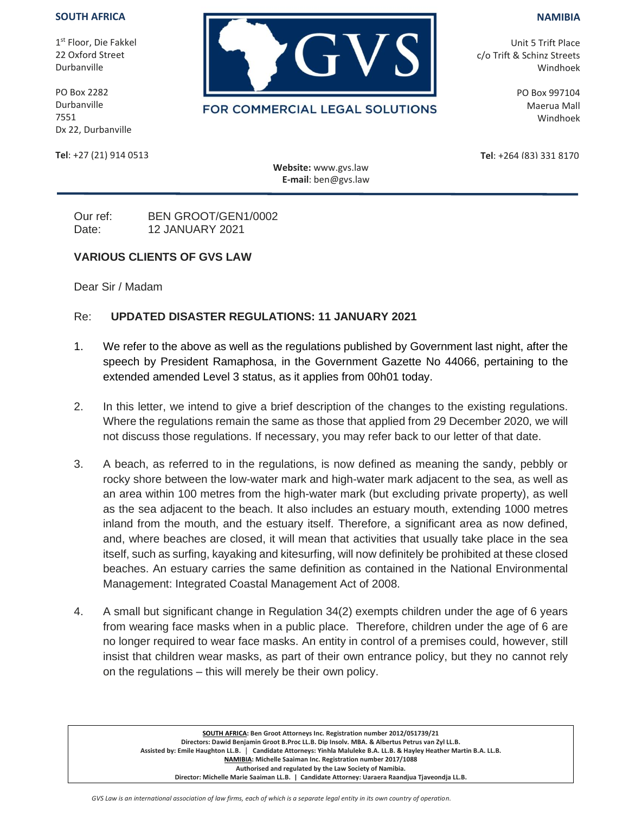## **SOUTH AFRICA**

1<sup>st</sup> Floor, Die Fakkel 22 Oxford Street Durbanville

PO Box 2282 Durbanville 7551 Dx 22, Durbanville

**Tel**: +27 (21) 914 0513



FOR COMMERCIAL LEGAL SOLUTIONS

**NAMIBIA**

Unit 5 Trift Place c/o Trift & Schinz Streets Windhoek

> PO Box 997104 Maerua Mall Windhoek

**Tel**: +264 (83) 331 8170

 **Website:** www.gvs.law **E-mail**: ben@gvs.law

Our ref: BEN GROOT/GEN1/0002 Date: 12 JANUARY 2021

## **VARIOUS CLIENTS OF GVS LAW**

Dear Sir / Madam

## Re: **UPDATED DISASTER REGULATIONS: 11 JANUARY 2021**

- 1. We refer to the above as well as the regulations published by Government last night, after the speech by President Ramaphosa, in the Government Gazette No 44066, pertaining to the extended amended Level 3 status, as it applies from 00h01 today.
- 2. In this letter, we intend to give a brief description of the changes to the existing regulations. Where the regulations remain the same as those that applied from 29 December 2020, we will not discuss those regulations. If necessary, you may refer back to our letter of that date.
- 3. A beach, as referred to in the regulations, is now defined as meaning the sandy, pebbly or rocky shore between the low-water mark and high-water mark adjacent to the sea, as well as an area within 100 metres from the high-water mark (but excluding private property), as well as the sea adjacent to the beach. It also includes an estuary mouth, extending 1000 metres inland from the mouth, and the estuary itself. Therefore, a significant area as now defined, and, where beaches are closed, it will mean that activities that usually take place in the sea itself, such as surfing, kayaking and kitesurfing, will now definitely be prohibited at these closed beaches. An estuary carries the same definition as contained in the National Environmental Management: Integrated Coastal Management Act of 2008.
- 4. A small but significant change in Regulation 34(2) exempts children under the age of 6 years from wearing face masks when in a public place. Therefore, children under the age of 6 are no longer required to wear face masks. An entity in control of a premises could, however, still insist that children wear masks, as part of their own entrance policy, but they no cannot rely on the regulations – this will merely be their own policy.

**SOUTH AFRICA: Ben Groot Attorneys Inc. Registration number 2012/051739/21 Directors: Dawid Benjamin Groot B.Proc LL.B. Dip Insolv. MBA. & Albertus Petrus van Zyl LL.B. Assisted by: Emile Haughton LL.B. │ Candidate Attorneys: Yinhla Maluleke B.A. LL.B. & Hayley Heather Martin B.A. LL.B. NAMIBIA: Michelle Saaiman Inc. Registration number 2017/1088 Authorised and regulated by the Law Society of Namibia. Director: Michelle Marie Saaiman LL.B. | Candidate Attorney: Uaraera Raandjua Tjaveondja LL.B.**